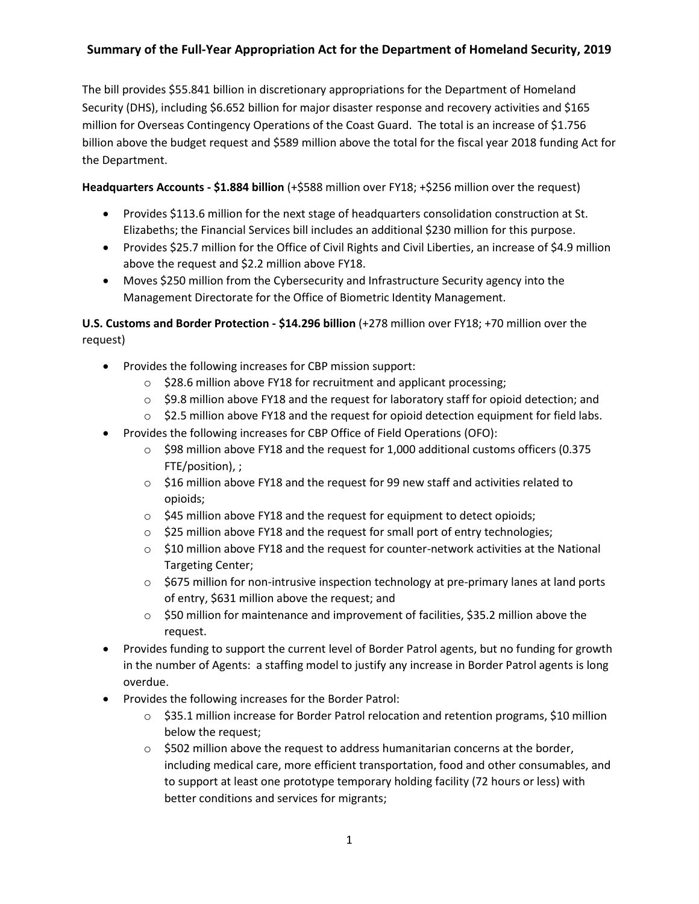The bill provides \$55.841 billion in discretionary appropriations for the Department of Homeland Security (DHS), including \$6.652 billion for major disaster response and recovery activities and \$165 million for Overseas Contingency Operations of the Coast Guard. The total is an increase of \$1.756 billion above the budget request and \$589 million above the total for the fiscal year 2018 funding Act for the Department.

**Headquarters Accounts - \$1.884 billion** (+\$588 million over FY18; +\$256 million over the request)

- Provides \$113.6 million for the next stage of headquarters consolidation construction at St. Elizabeths; the Financial Services bill includes an additional \$230 million for this purpose.
- Provides \$25.7 million for the Office of Civil Rights and Civil Liberties, an increase of \$4.9 million above the request and \$2.2 million above FY18.
- Moves \$250 million from the Cybersecurity and Infrastructure Security agency into the Management Directorate for the Office of Biometric Identity Management.

**U.S. Customs and Border Protection - \$14.296 billion** (+278 million over FY18; +70 million over the request)

- Provides the following increases for CBP mission support:
	- o \$28.6 million above FY18 for recruitment and applicant processing;
	- $\circ$  \$9.8 million above FY18 and the request for laboratory staff for opioid detection; and
	- $\circ$  \$2.5 million above FY18 and the request for opioid detection equipment for field labs.
- Provides the following increases for CBP Office of Field Operations (OFO):
	- $\circ$  \$98 million above FY18 and the request for 1,000 additional customs officers (0.375 FTE/position), ;
	- $\circ$  \$16 million above FY18 and the request for 99 new staff and activities related to opioids;
	- o \$45 million above FY18 and the request for equipment to detect opioids;
	- o \$25 million above FY18 and the request for small port of entry technologies;
	- $\circ$  \$10 million above FY18 and the request for counter-network activities at the National Targeting Center;
	- $\circ$  \$675 million for non-intrusive inspection technology at pre-primary lanes at land ports of entry, \$631 million above the request; and
	- $\circ$  \$50 million for maintenance and improvement of facilities, \$35.2 million above the request.
- Provides funding to support the current level of Border Patrol agents, but no funding for growth in the number of Agents: a staffing model to justify any increase in Border Patrol agents is long overdue.
- Provides the following increases for the Border Patrol:
	- o \$35.1 million increase for Border Patrol relocation and retention programs, \$10 million below the request;
	- $\circ$  \$502 million above the request to address humanitarian concerns at the border, including medical care, more efficient transportation, food and other consumables, and to support at least one prototype temporary holding facility (72 hours or less) with better conditions and services for migrants;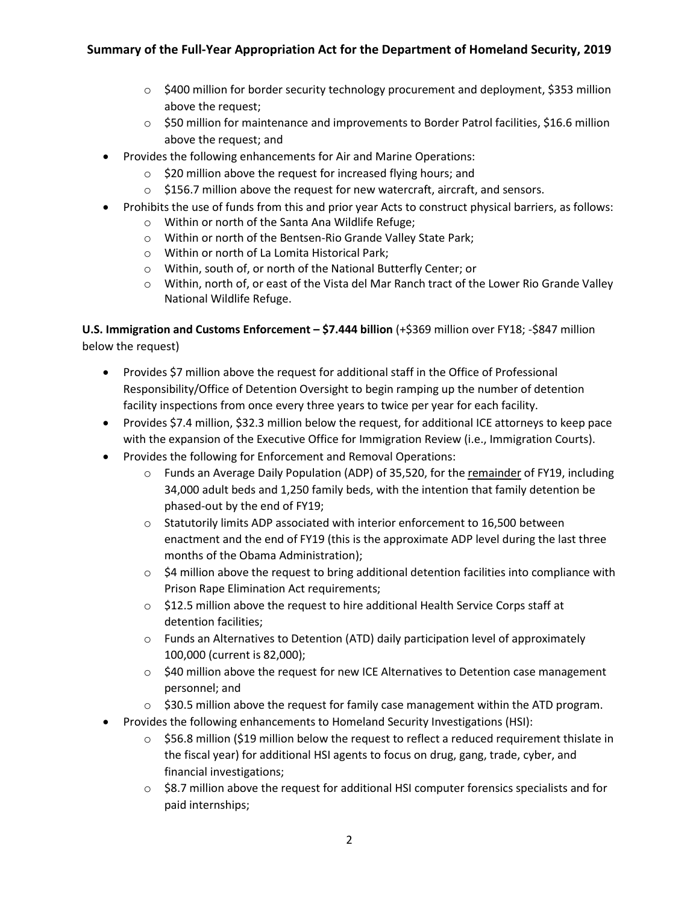- $\circ$  \$400 million for border security technology procurement and deployment, \$353 million above the request;
- $\circ$  \$50 million for maintenance and improvements to Border Patrol facilities, \$16.6 million above the request; and
- Provides the following enhancements for Air and Marine Operations:
	- o \$20 million above the request for increased flying hours; and
	- $\circ$  \$156.7 million above the request for new watercraft, aircraft, and sensors.
- Prohibits the use of funds from this and prior year Acts to construct physical barriers, as follows:
	- o Within or north of the Santa Ana Wildlife Refuge;
	- o Within or north of the Bentsen-Rio Grande Valley State Park;
	- o Within or north of La Lomita Historical Park;
	- o Within, south of, or north of the National Butterfly Center; or
	- o Within, north of, or east of the Vista del Mar Ranch tract of the Lower Rio Grande Valley National Wildlife Refuge.

**U.S. Immigration and Customs Enforcement – \$7.444 billion** (+\$369 million over FY18; -\$847 million below the request)

- Provides \$7 million above the request for additional staff in the Office of Professional Responsibility/Office of Detention Oversight to begin ramping up the number of detention facility inspections from once every three years to twice per year for each facility.
- Provides \$7.4 million, \$32.3 million below the request, for additional ICE attorneys to keep pace with the expansion of the Executive Office for Immigration Review (i.e., Immigration Courts).
- Provides the following for Enforcement and Removal Operations:
	- $\circ$  Funds an Average Daily Population (ADP) of 35,520, for the remainder of FY19, including 34,000 adult beds and 1,250 family beds, with the intention that family detention be phased-out by the end of FY19;
	- $\circ$  Statutorily limits ADP associated with interior enforcement to 16,500 between enactment and the end of FY19 (this is the approximate ADP level during the last three months of the Obama Administration);
	- $\circ$  \$4 million above the request to bring additional detention facilities into compliance with Prison Rape Elimination Act requirements;
	- $\circ$  \$12.5 million above the request to hire additional Health Service Corps staff at detention facilities;
	- o Funds an Alternatives to Detention (ATD) daily participation level of approximately 100,000 (current is 82,000);
	- $\circ$  \$40 million above the request for new ICE Alternatives to Detention case management personnel; and
	- $\circ$  \$30.5 million above the request for family case management within the ATD program.
- Provides the following enhancements to Homeland Security Investigations (HSI):
	- $\circ$  \$56.8 million (\$19 million below the request to reflect a reduced requirement thislate in the fiscal year) for additional HSI agents to focus on drug, gang, trade, cyber, and financial investigations;
	- $\circ$  \$8.7 million above the request for additional HSI computer forensics specialists and for paid internships;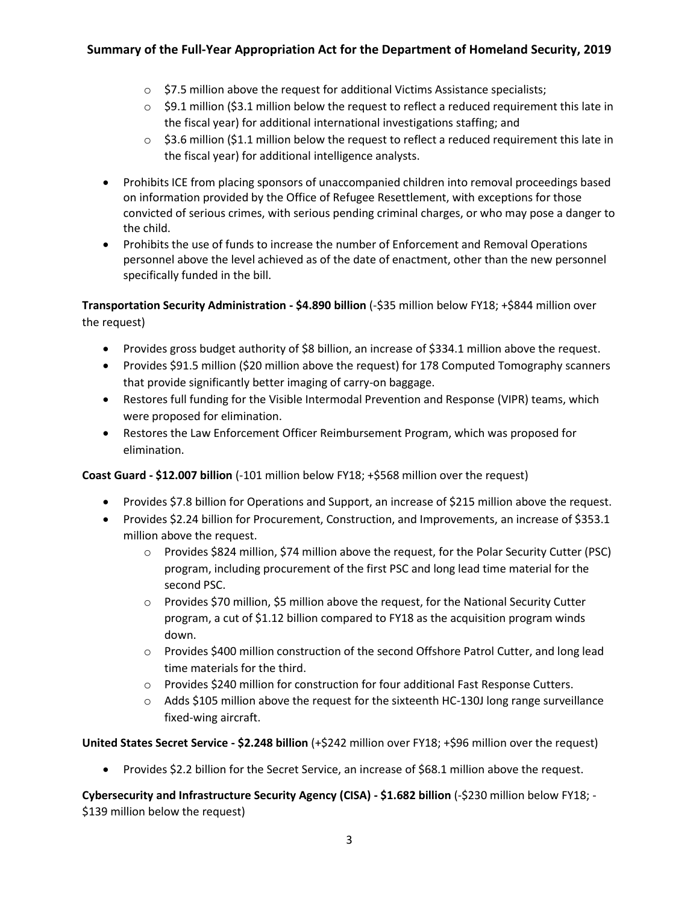- $\circ$  \$7.5 million above the request for additional Victims Assistance specialists;
- $\circ$  \$9.1 million (\$3.1 million below the request to reflect a reduced requirement this late in the fiscal year) for additional international investigations staffing; and
- $\circ$  \$3.6 million (\$1.1 million below the request to reflect a reduced requirement this late in the fiscal year) for additional intelligence analysts.
- Prohibits ICE from placing sponsors of unaccompanied children into removal proceedings based on information provided by the Office of Refugee Resettlement, with exceptions for those convicted of serious crimes, with serious pending criminal charges, or who may pose a danger to the child.
- Prohibits the use of funds to increase the number of Enforcement and Removal Operations personnel above the level achieved as of the date of enactment, other than the new personnel specifically funded in the bill.

**Transportation Security Administration - \$4.890 billion** (-\$35 million below FY18; +\$844 million over the request)

- Provides gross budget authority of \$8 billion, an increase of \$334.1 million above the request.
- Provides \$91.5 million (\$20 million above the request) for 178 Computed Tomography scanners that provide significantly better imaging of carry-on baggage.
- Restores full funding for the Visible Intermodal Prevention and Response (VIPR) teams, which were proposed for elimination.
- Restores the Law Enforcement Officer Reimbursement Program, which was proposed for elimination.

**Coast Guard - \$12.007 billion** (-101 million below FY18; +\$568 million over the request)

- Provides \$7.8 billion for Operations and Support, an increase of \$215 million above the request.
- Provides \$2.24 billion for Procurement, Construction, and Improvements, an increase of \$353.1 million above the request.
	- o Provides \$824 million, \$74 million above the request, for the Polar Security Cutter (PSC) program, including procurement of the first PSC and long lead time material for the second PSC.
	- o Provides \$70 million, \$5 million above the request, for the National Security Cutter program, a cut of \$1.12 billion compared to FY18 as the acquisition program winds down.
	- o Provides \$400 million construction of the second Offshore Patrol Cutter, and long lead time materials for the third.
	- o Provides \$240 million for construction for four additional Fast Response Cutters.
	- $\circ$  Adds \$105 million above the request for the sixteenth HC-130J long range surveillance fixed-wing aircraft.

**United States Secret Service - \$2.248 billion** (+\$242 million over FY18; +\$96 million over the request)

Provides \$2.2 billion for the Secret Service, an increase of \$68.1 million above the request.

**Cybersecurity and Infrastructure Security Agency (CISA) - \$1.682 billion** (-\$230 million below FY18; - \$139 million below the request)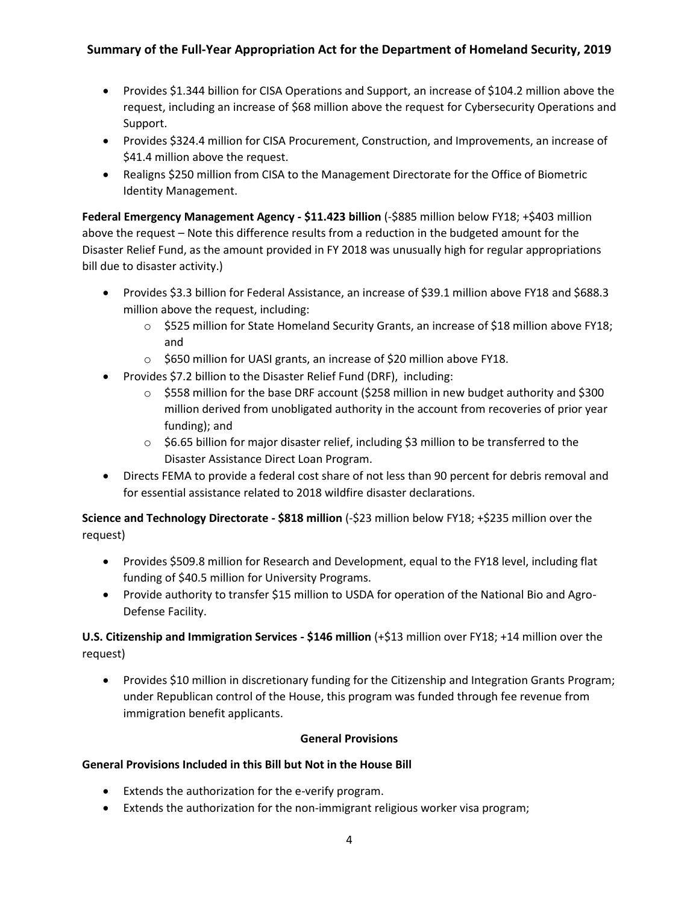- Provides \$1.344 billion for CISA Operations and Support, an increase of \$104.2 million above the request, including an increase of \$68 million above the request for Cybersecurity Operations and Support.
- Provides \$324.4 million for CISA Procurement, Construction, and Improvements, an increase of \$41.4 million above the request.
- Realigns \$250 million from CISA to the Management Directorate for the Office of Biometric Identity Management.

**Federal Emergency Management Agency - \$11.423 billion** (-\$885 million below FY18; +\$403 million above the request – Note this difference results from a reduction in the budgeted amount for the Disaster Relief Fund, as the amount provided in FY 2018 was unusually high for regular appropriations bill due to disaster activity.)

- Provides \$3.3 billion for Federal Assistance, an increase of \$39.1 million above FY18 and \$688.3 million above the request, including:
	- o \$525 million for State Homeland Security Grants, an increase of \$18 million above FY18; and
	- o \$650 million for UASI grants, an increase of \$20 million above FY18.
- Provides \$7.2 billion to the Disaster Relief Fund (DRF), including:
	- $\circ$  \$558 million for the base DRF account (\$258 million in new budget authority and \$300 million derived from unobligated authority in the account from recoveries of prior year funding); and
	- o \$6.65 billion for major disaster relief, including \$3 million to be transferred to the Disaster Assistance Direct Loan Program.
- Directs FEMA to provide a federal cost share of not less than 90 percent for debris removal and for essential assistance related to 2018 wildfire disaster declarations.

**Science and Technology Directorate - \$818 million** (-\$23 million below FY18; +\$235 million over the request)

- Provides \$509.8 million for Research and Development, equal to the FY18 level, including flat funding of \$40.5 million for University Programs.
- Provide authority to transfer \$15 million to USDA for operation of the National Bio and Agro-Defense Facility.

**U.S. Citizenship and Immigration Services - \$146 million** (+\$13 million over FY18; +14 million over the request)

 Provides \$10 million in discretionary funding for the Citizenship and Integration Grants Program; under Republican control of the House, this program was funded through fee revenue from immigration benefit applicants.

### **General Provisions**

### **General Provisions Included in this Bill but Not in the House Bill**

- Extends the authorization for the e-verify program.
- Extends the authorization for the non-immigrant religious worker visa program;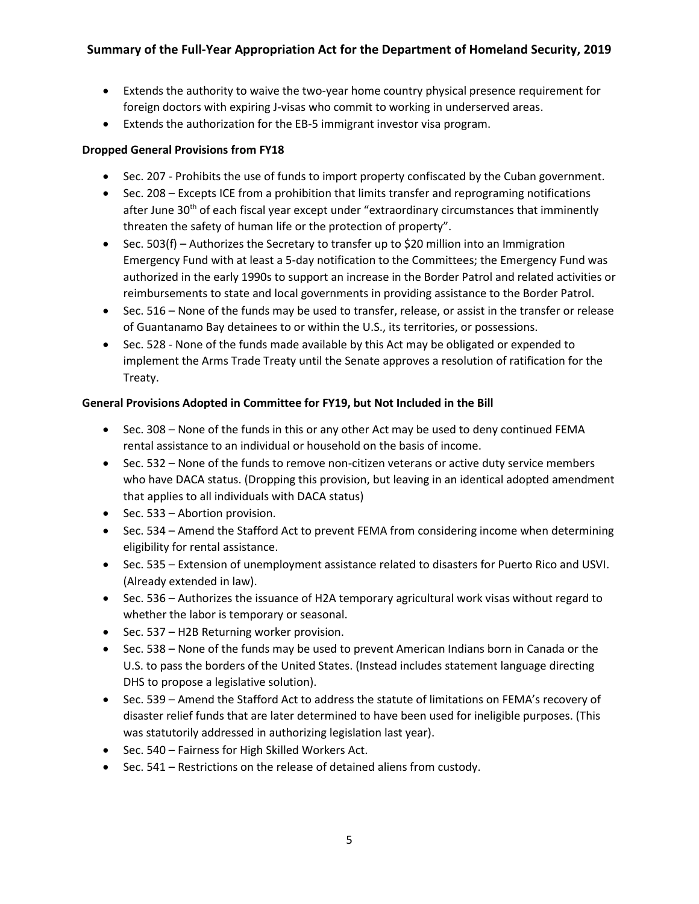- Extends the authority to waive the two-year home country physical presence requirement for foreign doctors with expiring J-visas who commit to working in underserved areas.
- Extends the authorization for the EB-5 immigrant investor visa program.

## **Dropped General Provisions from FY18**

- Sec. 207 Prohibits the use of funds to import property confiscated by the Cuban government.
- Sec. 208 Excepts ICE from a prohibition that limits transfer and reprograming notifications after June  $30<sup>th</sup>$  of each fiscal year except under "extraordinary circumstances that imminently threaten the safety of human life or the protection of property".
- Sec. 503(f) Authorizes the Secretary to transfer up to \$20 million into an Immigration Emergency Fund with at least a 5-day notification to the Committees; the Emergency Fund was authorized in the early 1990s to support an increase in the Border Patrol and related activities or reimbursements to state and local governments in providing assistance to the Border Patrol.
- Sec. 516 None of the funds may be used to transfer, release, or assist in the transfer or release of Guantanamo Bay detainees to or within the U.S., its territories, or possessions.
- Sec. 528 None of the funds made available by this Act may be obligated or expended to implement the Arms Trade Treaty until the Senate approves a resolution of ratification for the Treaty.

## **General Provisions Adopted in Committee for FY19, but Not Included in the Bill**

- Sec. 308 None of the funds in this or any other Act may be used to deny continued FEMA rental assistance to an individual or household on the basis of income.
- Sec. 532 None of the funds to remove non-citizen veterans or active duty service members who have DACA status. (Dropping this provision, but leaving in an identical adopted amendment that applies to all individuals with DACA status)
- $\bullet$  Sec. 533 Abortion provision.
- Sec. 534 Amend the Stafford Act to prevent FEMA from considering income when determining eligibility for rental assistance.
- Sec. 535 Extension of unemployment assistance related to disasters for Puerto Rico and USVI. (Already extended in law).
- Sec. 536 Authorizes the issuance of H2A temporary agricultural work visas without regard to whether the labor is temporary or seasonal.
- Sec. 537 H2B Returning worker provision.
- Sec. 538 None of the funds may be used to prevent American Indians born in Canada or the U.S. to pass the borders of the United States. (Instead includes statement language directing DHS to propose a legislative solution).
- Sec. 539 Amend the Stafford Act to address the statute of limitations on FEMA's recovery of disaster relief funds that are later determined to have been used for ineligible purposes. (This was statutorily addressed in authorizing legislation last year).
- Sec. 540 Fairness for High Skilled Workers Act.
- Sec. 541 Restrictions on the release of detained aliens from custody.